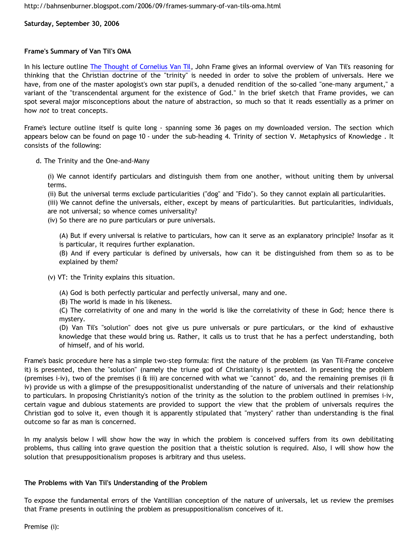**Saturday, September 30, 2006**

# **Frame's Summary of Van Til's OMA**

In his lecture outline [The Thought of Cornelius Van Til](http://www.thirdmill.org/files/reformedperspectives/hall_of_frame/VT_The%20Thought%20of%20Cornelius%20Van%20Til.doc), John Frame gives an informal overview of Van Til's reasoning for thinking that the Christian doctrine of the "trinity" is needed in order to solve the problem of universals. Here we have, from one of the master apologist's own star pupil's, a denuded rendition of the so-called "one-many argument," a variant of the "transcendental argument for the existence of God." In the brief sketch that Frame provides, we can spot several major misconceptions about the nature of abstraction, so much so that it reads essentially as a primer on how *not* to treat concepts.

Frame's lecture outline itself is quite long - spanning some 36 pages on my downloaded version. The section which appears below can be found on page 10 - under the sub-heading 4. Trinity of section V. Metaphysics of Knowledge . It consists of the following:

d. The Trinity and the One-and-Many

(i) We cannot identify particulars and distinguish them from one another, without uniting them by universal terms.

(ii) But the universal terms exclude particularities ("dog" and "Fido"). So they cannot explain all particularities.

(iii) We cannot define the universals, either, except by means of particularities. But particularities, individuals, are not universal; so whence comes universality?

(iv) So there are no pure particulars or pure universals.

(A) But if every universal is relative to particulars, how can it serve as an explanatory principle? Insofar as it is particular, it requires further explanation.

(B) And if every particular is defined by universals, how can it be distinguished from them so as to be explained by them?

(v) VT: the Trinity explains this situation.

(A) God is both perfectly particular and perfectly universal, many and one.

(B) The world is made in his likeness.

(C) The correlativity of one and many in the world is like the correlativity of these in God; hence there is mystery.

(D) Van Til's "solution" does not give us pure universals or pure particulars, or the kind of exhaustive knowledge that these would bring us. Rather, it calls us to trust that he has a perfect understanding, both of himself, and of his world.

Frame's basic procedure here has a simple two-step formula: first the nature of the problem (as Van Til-Frame conceive it) is presented, then the "solution" (namely the triune god of Christianity) is presented. In presenting the problem (premises i-iv), two of the premises (i & iii) are concerned with what we "cannot" do, and the remaining premises (ii & iv) provide us with a glimpse of the presuppositionalist understanding of the nature of universals and their relationship to particulars. In proposing Christianity's notion of the trinity as the solution to the problem outlined in premises i-iv, certain vague and dubious statements are provided to support the view that the problem of universals requires the Christian god to solve it, even though it is apparently stipulated that "mystery" rather than understanding is the final outcome so far as man is concerned.

In my analysis below I will show how the way in which the problem is conceived suffers from its own debilitating problems, thus calling into grave question the position that a theistic solution is required. Also, I will show how the solution that presuppositionalism proposes is arbitrary and thus useless.

# **The Problems with Van Til's Understanding of the Problem**

To expose the fundamental errors of the Vantillian conception of the nature of universals, let us review the premises that Frame presents in outlining the problem as presuppositionalism conceives of it.

Premise (i):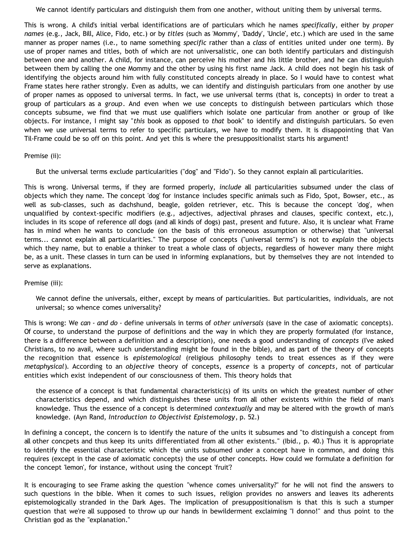We cannot identify particulars and distinguish them from one another, without uniting them by universal terms.

This is wrong. A child's initial verbal identifications are of particulars which he names *specifically*, either by *proper names* (e.g., Jack, Bill, Alice, Fido, etc.) or by *titles* (such as 'Mommy', 'Daddy', 'Uncle', etc.) which are used in the same manner as proper names (i.e., to name something *specific* rather than a *class* of entities united under one term). By use of proper names and titles, both of which are not universalistic, one can both identify particulars and distinguish between one and another. A child, for instance, can perceive his mother and his little brother, and he can distinguish between them by calling the one Mommy and the other by using his first name Jack. A child does not begin his task of identifying the objects around him with fully constituted concepts already in place. So I would have to contest what Frame states here rather strongly. Even as adults, we can identify and distinguish particulars from one another by use of proper names as opposed to universal terms. In fact, we use universal terms (that is, concepts) in order to treat a group of particulars as a *group*. And even when we use concepts to distinguish between particulars which those concepts subsume, we find that we must use qualifiers which isolate one particular from another or group of like objects. For instance, I might say "*this* book as opposed to *that* book" to identify and distinguish particulars. So even when we use universal terms to refer to specific particulars, we have to modify them. It is disappointing that Van Til-Frame could be so off on this point. And yet this is where the presuppositionalist starts his argument!

### Premise (ii):

But the universal terms exclude particularities ("dog" and "Fido"). So they cannot explain all particularities.

This is wrong. Universal terms, if they are formed properly, *include* all particularities subsumed under the class of objects which they name. The concept 'dog' for instance includes specific animals such as Fido, Spot, Bowser, etc., as well as sub-classes, such as dachshund, beagle, golden retriever, etc. This is because the concept 'dog', when unqualified by context-specific modifiers (e.g., adjectives, adjectival phrases and clauses, specific context, etc.), includes in its scope of reference *all* dogs (and all kinds of dogs) past, present and future. Also, it is unclear what Frame has in mind when he wants to conclude (on the basis of this erroneous assumption or otherwise) that "universal terms... cannot explain all particularities." The purpose of concepts ("universal terms") is not to *explain* the objects which they name, but to enable a thinker to treat a whole class of objects, regardless of however many there might be, as a unit. These classes in turn can be used in informing explanations, but by themselves they are not intended to serve as explanations.

## Premise (iii):

We cannot define the universals, either, except by means of particularities. But particularities, individuals, are not universal; so whence comes universality?

This is wrong: We *can* - *and do* - define universals in terms of *other universals* (save in the case of axiomatic concepts). Of course, to understand the purpose of definitions and the way in which they are properly formulated (for instance, there is a difference between a definition and a description), one needs a good understanding of *concepts* (I've asked Christians, to no avail, where such understanding might be found in the bible), and as part of the theory of concepts the recognition that essence is *epistemological* (religious philosophy tends to treat essences as if they were *metaphysical*). According to an *objective* theory of concepts, *essence* is a property of *concepts*, not of particular entities which exist independent of our consciousness of them. This theory holds that

the essence of a concept is that fundamental characteristic(s) of its units on which the greatest number of other characteristics depend, and which distinguishes these units from all other existents within the field of man's knowledge. Thus the essence of a concept is determined *contextually* and may be altered with the growth of man's knowledge. (Ayn Rand, *Introduction to Objectivist Epistemology*, p. 52.)

In defining a concept, the concern is to identify the nature of the units it subsumes and "to distinguish a concept from all other concpets and thus keep its units differentiated from all other existents." (Ibid., p. 40.) Thus it is appropriate to identify the essential characteristic which the units subsumed under a concept have in common, and doing this requires (except in the case of axiomatic concepts) the use of other concepts. How could we formulate a definition for the concept 'lemon', for instance, without using the concept 'fruit'?

It is encouraging to see Frame asking the question "whence comes universality?" for he will not find the answers to such questions in the bible. When it comes to such issues, religion provides no answers and leaves its adherents epistemologically stranded in the Dark Ages. The implication of presuppositionalism is that this is such a stumper question that we're all supposed to throw up our hands in bewilderment exclaiming "I donno!" and thus point to the Christian god as the "explanation."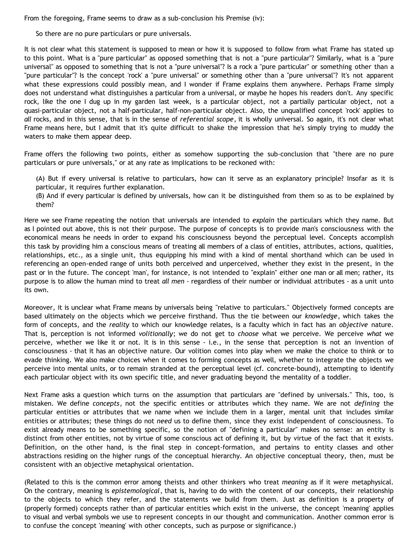From the foregoing, Frame seems to draw as a sub-conclusion his Premise (iv):

So there are no pure particulars or pure universals.

It is not clear what this statement is supposed to mean or how it is supposed to follow from what Frame has stated up to this point. What is a "pure particular" as opposed something that is not a "pure particular"? Similarly, what is a "pure universal" as opposed to something that is not a "pure universal"? Is a rock a "pure particular" or something other than a "pure particular"? Is the concept 'rock' a "pure universal" or something other than a "pure universal"? It's not apparent what these expressions could possibly mean, and I wonder if Frame explains them anywhere. Perhaps Frame simply does not understand what distinguishes a particular from a universal, or maybe he hopes his readers don't. Any specific rock, like the one I dug up in my garden last week, is a particular object, not a partially particular object, not a quasi-particular object, not a half-particular, half-non-particular object. Also, the unqualified concept 'rock' applies to *all* rocks, and in this sense, that is in the sense of *referential scope*, it is wholly universal. So again, it's not clear what Frame means here, but I admit that it's quite difficult to shake the impression that he's simply trying to muddy the waters to make them appear deep.

Frame offers the following two points, either as somehow supporting the sub-conclusion that "there are no pure particulars or pure universals," or at any rate as implications to be reckoned with:

(A) But if every universal is relative to particulars, how can it serve as an explanatory principle? Insofar as it is particular, it requires further explanation.

(B) And if every particular is defined by universals, how can it be distinguished from them so as to be explained by them?

Here we see Frame repeating the notion that universals are intended to *explain* the particulars which they name. But as I pointed out above, this is not their purpose. The purpose of concepts is to provide man's consciousness with the economical means he needs in order to expand his consciousness beyond the perceptual level. Concepts accomplish this task by providing him a conscious means of treating all members of a class of entities, attributes, actions, qualities, relationships, etc., as a single unit, thus equipping his mind with a kind of mental shorthand which can be used in referencing an open-ended range of units both perceived and unperceived, whether they exist in the present, in the past or in the future. The concept 'man', for instance, is not intended to "explain" either one man or all men; rather, its purpose is to allow the human mind to treat *all men* - regardless of their number or individual attributes - as a unit unto its own.

Moreover, it is unclear what Frame means by universals being "relative to particulars." Objectively formed concepts are based ultimately on the objects which we perceive firsthand. Thus the tie between our *knowledge*, which takes the form of concepts, and the *reality* to which our knowledge relates, is a faculty which in fact has an *objective* nature. That is, perception is not informed *volitionally*; we do not get to *choose* what we perceive. We perceive *what* we perceive, whether we like it or not. It is in this sense - i.e., in the sense that perception is not an invention of consciousness - that it has an objective nature. Our volition comes into play when we make the choice to think or to evade thinking. We also make choices when it comes to forming concepts as well, whether to integrate the objects we perceive into mental units, or to remain stranded at the perceptual level (cf. concrete-bound), attempting to identify each particular object with its own specific title, and never graduating beyond the mentality of a toddler.

Next Frame asks a question which turns on the assumption that particulars are "defined by universals." This, too, is mistaken. We define *concepts*, not the specific entities or attributes which they name. We are not *defining* the particular entities or attributes that we name when we include them in a larger, mental unit that includes similar entities or attributes; these things do not *need* us to define them, since they exist independent of consciousness. To exist already means to be something specific, so the notion of "defining a particular" makes no sense: an entity is distinct from other entities, not by virtue of some conscious act of defining it, but by virtue of the fact that it exists. Definition, on the other hand, is the final step in concept-formation, and pertains to entity classes and other abstractions residing on the higher rungs of the conceptual hierarchy. An objective conceptual theory, then, must be consistent with an objective metaphysical orientation.

(Related to this is the common error among theists and other thinkers who treat *meaning* as if it were metaphysical. On the contrary, meaning is *epistemological*, that is, having to do with the content of our concepts, their relationship to the objects to which they refer, and the statements we build from them. Just as definition is a property of (properly formed) concepts rather than of particular entities which exist in the universe, the concept 'meaning' applies to visual and verbal symbols we use to represent concepts in our thought and communication. Another common error is to confuse the concept 'meaning' with other concepts, such as purpose or significance.)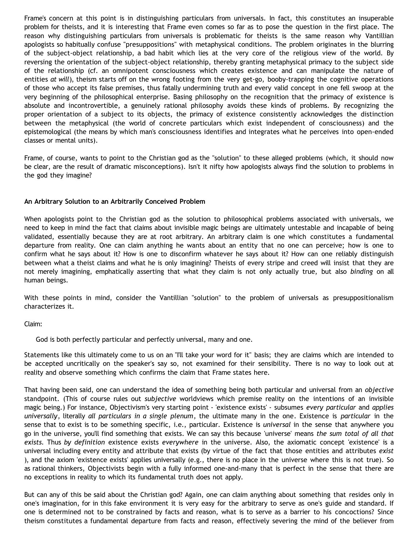Frame's concern at this point is in distinguishing particulars from universals. In fact, this constitutes an insuperable problem for theists, and it is interesting that Frame even comes so far as to pose the question in the first place. The reason why distinguishing particulars from universals is problematic for theists is the same reason why Vantillian apologists so habitually confuse "presuppositions" with metaphysical conditions. The problem originates in the blurring of the subject-object relationship, a bad habit which lies at the very core of the religious view of the world. By reversing the orientation of the subject-object relationship, thereby granting metaphysical primacy to the subject side of the relationship (cf. an omnipotent consciousness which creates existence and can manipulate the nature of entities *at will*), theism starts off on the wrong footing from the very get-go, booby-trapping the cognitive operations of those who accept its false premises, thus fatally undermining truth and every valid concept in one fell swoop at the very beginning of the philosophical enterprise. Basing philosophy on the recognition that the primacy of existence is absolute and incontrovertible, a genuinely rational philosophy avoids these kinds of problems. By recognizing the proper orientation of a subject to its objects, the primacy of existence consistently acknowledges the distinction between the metaphysical (the world of concrete particulars which exist independent of consciousness) and the epistemological (the means by which man's consciousness identifies and integrates what he perceives into open-ended classes or mental units).

Frame, of course, wants to point to the Christian god as the "solution" to these alleged problems (which, it should now be clear, are the result of dramatic misconceptions). Isn't it nifty how apologists always find the solution to problems in the god they imagine?

### **An Arbitrary Solution to an Arbitrarily Conceived Problem**

When apologists point to the Christian god as the solution to philosophical problems associated with universals, we need to keep in mind the fact that claims about invisible magic beings are ultimately untestable and incapable of being validated, essentially because they are at root arbitrary. An arbitrary claim is one which constitutes a fundamental departure from reality. One can claim anything he wants about an entity that no one can perceive; how is one to confirm what he says about it? How is one to disconfirm whatever he says about it? How can one reliably distinguish between what a theist claims and what he is only imagining? Theists of every stripe and creed will insist that they are not merely imagining, emphatically asserting that what they claim is not only actually true, but also *binding* on all human beings.

With these points in mind, consider the Vantillian "solution" to the problem of universals as presuppositionalism characterizes it.

Claim:

God is both perfectly particular and perfectly universal, many and one.

Statements like this ultimately come to us on an "I'll take your word for it" basis; they are claims which are intended to be accepted uncritically on the speaker's say so, not examined for their sensibility. There is no way to look out at reality and observe something which confirms the claim that Frame states here.

That having been said, one can understand the idea of something being both particular and universal from an *objective* standpoint. (This of course rules out *subjective* worldviews which premise reality on the intentions of an invisible magic being.) For instance, Objectivism's very starting point - 'existence exists' - subsumes *every particular* and *applies universally*, literally *all particulars in a single plenum*, the ultimate many in the one*.* Existence is *particular* in the sense that to exist is to be something specific, i.e., particular. Existence is *universal* in the sense that anywhere you go in the universe, you'll find something that exists. We can say this because 'universe' means *the sum total of all that exists.* Thus *by definition* existence exists *everywhere* in the universe. Also, the axiomatic concept 'existence' is a universal including every entity and attribute that exists (by virtue of the fact that those entities and attributes *exist* ), and the axiom 'existence exists' applies universally (e.g., there is no place in the universe where this is not true). So as rational thinkers, Objectivists begin with a fully informed one-and-many that is perfect in the sense that there are no exceptions in reality to which its fundamental truth does not apply.

But can any of this be said about the Christian god? Again, one can claim anything about something that resides only in one's imagination, for in this fake environment it is very easy for the arbitrary to serve as one's guide and standard. If one is determined not to be constrained by facts and reason, what is to serve as a barrier to his concoctions? Since theism constitutes a fundamental departure from facts and reason, effectively severing the mind of the believer from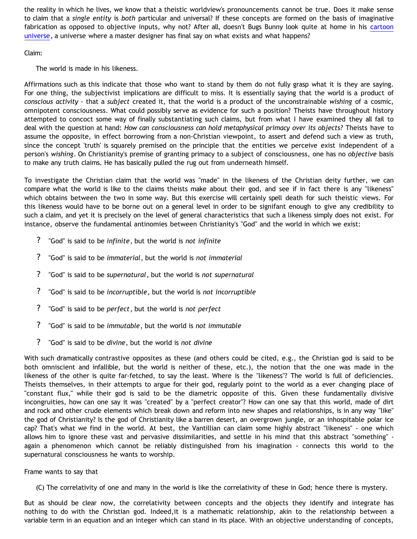the reality in which he lives, we know that a theistic worldview's pronouncements cannot be true. Does it make sense to claim that a *single entity* is *both* particular and universal? If these concepts are formed on the basis of imaginative fabrication as opposed to objective inputs, why not? After all, doesn't Bugs Bunny look quite at home in his [cartoon](http://www.strongatheism.net/library/atheology/cartoon_universe_of_theism/) [universe](http://www.strongatheism.net/library/atheology/cartoon_universe_of_theism/), a universe where a master designer has final say on what exists and what happens?

Claim:

The world is made in his likeness.

Affirmations such as this indicate that those who want to stand by them do not fully grasp what it is they are saying. For one thing, the subjectivist implications are difficult to miss. It is essentially saying that the world is a product of *conscious activity* - that a *subject* created it, that the world is a product of the unconstrainable *wishing* of a cosmic, omnipotent consciousness. What could possibly serve as evidence for such a position? Theists have throughout history attempted to concoct some way of finally substantiating such claims, but from what I have examined they all fail to deal with the question at hand: *How can consciousness can hold metaphysical primacy over its objects?* Theists have to assume the opposite, in effect borrowing from a non-Christian viewpoint, to assert and defend such a view as truth, since the concept 'truth' is squarely premised on the principle that the entities we perceive exist independent of a person's *wishing*. On Christianity's premise of granting primacy to a subject of consciousness, one has no *objective* basis to make any truth claims. He has basically pulled the rug out from underneath himself.

To investigate the Christian claim that the world was "made" in the likeness of the Christian deity further, we can compare what the world is like to the claims theists make about their god, and see if in fact there is any "likeness" which obtains between the two in some way. But this exercise will certainly spell death for such theistic views. For this likeness would have to be borne out on a general level in order to be signifant enough to give any credibility to such a claim, and yet it is precisely on the level of general characteristics that such a likeness simply does not exist. For instance, observe the fundamental antinomies between Christianity's "God" and the world in which we exist:

- ? "God" is said to be *infinite*, but the world is *not infinite*
- ? "God" is said to be *immaterial*, but the world is *not immaterial*
- ? "God" is said to be *supernatural*, but the world is *not supernatural*
- ? "God" is said to be *incorruptible*, but the world is *not incorruptible*
- ? "God" is said to be *perfect*, but the world is *not perfect*
- ? "God" is said to be *immutable*, but the world is *not immutable*
- ? "God" is said to be *divine*, but the world is *not divine*

With such dramatically contrastive opposites as these (and others could be cited, e.g., the Christian god is said to be both omniscient and infallible, but the world is neither of these, etc.), the notion that the one was made in the likeness of the other is quite far-fetched, to say the least. Where is the "likeness"? The world is full of deficiencies. Theists themselves, in their attempts to argue for their god, regularly point to the world as a ever changing place of "constant flux," while their god is said to be the diametric opposite of this. Given these fundamentally divisive incongruities, how can one say it was "created" by a "perfect creator"? How can one say that this world, made of dirt and rock and other crude elements which break down and reform into new shapes and relationships, is in any way "like" the god of Christianity? Is the god of Christianity like a barren desert, an overgrown jungle, or an inhospitable polar ice cap? That's what we find in the world. At best, the Vantillian can claim some highly abstract "likeness" - one which allows him to ignore these vast and pervasive dissimilarities, and settle in his mind that this abstract "something" again a phenomenon which cannot be reliably distinguished from his imagination - connects this world to the supernatural consciousness he wants to worship.

### Frame wants to say that

(C) The correlativity of one and many in the world is like the correlativity of these in God; hence there is mystery.

But as should be clear now, the correlativity between concepts and the objects they identify and integrate has nothing to do with the Christian god. Indeed,it is a mathematic relationship, akin to the relationship between a variable term in an equation and an integer which can stand in its place. With an objective understanding of concepts,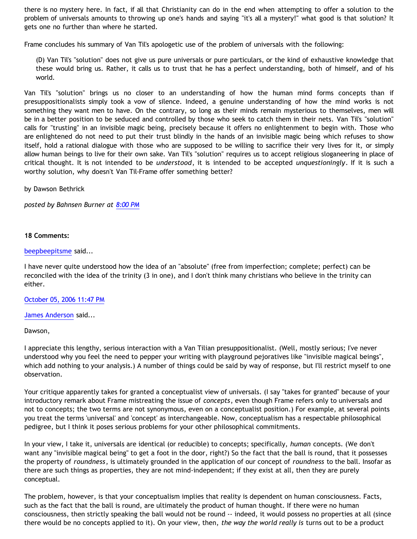there is no mystery here. In fact, if all that Christianity can do in the end when attempting to offer a solution to the problem of universals amounts to throwing up one's hands and saying "it's all a mystery!" what good is that solution? It gets one no further than where he started.

Frame concludes his summary of Van Til's apologetic use of the problem of universals with the following:

(D) Van Til's "solution" does not give us pure universals or pure particulars, or the kind of exhaustive knowledge that these would bring us. Rather, it calls us to trust that he has a perfect understanding, both of himself, and of his world.

Van Til's "solution" brings us no closer to an understanding of how the human mind forms concepts than if presuppositionalists simply took a vow of silence. Indeed, a genuine understanding of how the mind works is not something they want men to have. On the contrary, so long as their minds remain mysterious to themselves, men will be in a better position to be seduced and controlled by those who seek to catch them in their nets. Van Til's "solution" calls for "trusting" in an invisible magic being, precisely because it offers no enlightenment to begin with. Those who are enlightened do not need to put their trust blindly in the hands of an invisible magic being which refuses to show itself, hold a rational dialogue with those who are supposed to be willing to sacrifice their very lives for it, or simply allow human beings to live for their own sake. Van Til's "solution" requires us to accept religious sloganeering in place of critical thought. It is not intended to be *understood*, it is intended to be accepted *unquestioningly*. If it is such a worthy solution, why doesn't Van Til-Frame offer something better?

by Dawson Bethrick

*posted by Bahnsen Burner at [8:00 PM](http://bahnsenburner.blogspot.com/2006/09/frames-summary-of-van-tils-oma.html)*

#### **18 Comments:**

#### [beepbeepitsme](http://www.blogger.com/profile/15679570) said...

I have never quite understood how the idea of an "absolute" (free from imperfection; complete; perfect) can be reconciled with the idea of the trinity (3 in one), and I don't think many christians who believe in the trinity can either.

[October 05, 2006 11:47 PM](http://bahnsenburner.blogspot.com/2006/09/116011727633038211)

[James Anderson](http://www.blogger.com/profile/8293423) said...

#### Dawson,

I appreciate this lengthy, serious interaction with a Van Tilian presuppositionalist. (Well, mostly serious; I've never understood why you feel the need to pepper your writing with playground pejoratives like "invisible magical beings", which add nothing to your analysis.) A number of things could be said by way of response, but I'll restrict myself to one observation.

Your critique apparently takes for granted a conceptualist view of universals. (I say "takes for granted" because of your introductory remark about Frame mistreating the issue of *concepts*, even though Frame refers only to universals and not to concepts; the two terms are not synonymous, even on a conceptualist position.) For example, at several points you treat the terms 'universal' and 'concept' as interchangeable. Now, conceptualism has a respectable philosophical pedigree, but I think it poses serious problems for your other philosophical commitments.

In your view, I take it, universals are identical (or reducible) to concepts; specifically, *human* concepts. (We don't want any "invisible magical being" to get a foot in the door, right?) So the fact that the ball is round, that it possesses the property of *roundness*, is ultimately grounded in the application of our concept of *roundness* to the ball. Insofar as there are such things as properties, they are not mind-independent; if they exist at all, then they are purely conceptual.

The problem, however, is that your conceptualism implies that reality is dependent on human consciousness. Facts, such as the fact that the ball is round, are ultimately the product of human thought. If there were no human consciousness, then strictly speaking the ball would not be round -- indeed, it would possess no properties at all (since there would be no concepts applied to it). On your view, then, *the way the world really is* turns out to be a product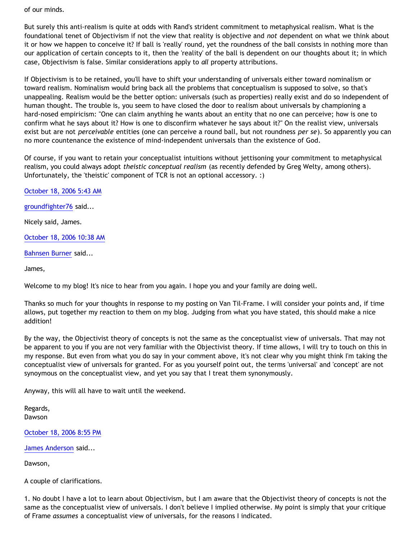of our minds.

But surely this anti-realism is quite at odds with Rand's strident commitment to metaphysical realism. What is the foundational tenet of Objectivism if not the view that reality is objective and *not* dependent on what we think about it or how we happen to conceive it? If ball is 'really' round, yet the roundness of the ball consists in nothing more than our application of certain concepts to it, then the 'reality' of the ball is dependent on our thoughts about it; in which case, Objectivism is false. Similar considerations apply to *all* property attributions.

If Objectivism is to be retained, you'll have to shift your understanding of universals either toward nominalism or toward realism. Nominalism would bring back all the problems that conceptualism is supposed to solve, so that's unappealing. Realism would be the better option: universals (such as properties) really exist and do so independent of human thought. The trouble is, you seem to have closed the door to realism about universals by championing a hard-nosed empiricism: "One can claim anything he wants about an entity that no one can perceive; how is one to confirm what he says about it? How is one to disconfirm whatever he says about it?" On the realist view, universals exist but are not *perceivable* entities (one can perceive a round ball, but not roundness *per se*). So apparently you can no more countenance the existence of mind-independent universals than the existence of God.

Of course, if you want to retain your conceptualist intuitions without jettisoning your commitment to metaphysical realism, you could always adopt *theistic conceptual realism* (as recently defended by Greg Welty, among others). Unfortunately, the 'theistic' component of TCR is not an optional accessory. :)

[October 18, 2006 5:43 AM](http://bahnsenburner.blogspot.com/2006/09/116117543131631193)

[groundfighter76](http://www.blogger.com/profile/8210797) said...

Nicely said, James.

[October 18, 2006 10:38 AM](http://bahnsenburner.blogspot.com/2006/09/116119311068900104)

[Bahnsen Burner](http://www.blogger.com/profile/7766918) said...

James,

Welcome to my blog! It's nice to hear from you again. I hope you and your family are doing well.

Thanks so much for your thoughts in response to my posting on Van Til-Frame. I will consider your points and, if time allows, put together my reaction to them on my blog. Judging from what you have stated, this should make a nice addition!

By the way, the Objectivist theory of concepts is not the same as the conceptualist view of universals. That may not be apparent to you if you are not very familiar with the Objectivist theory. If time allows, I will try to touch on this in my response. But even from what you do say in your comment above, it's not clear why you might think I'm taking the conceptualist view of universals for granted. For as you yourself point out, the terms 'universal' and 'concept' are not synoymous on the conceptualist view, and yet you say that I treat them synonymously.

Anyway, this will all have to wait until the weekend.

Regards, Dawson

[October 18, 2006 8:55 PM](http://bahnsenburner.blogspot.com/2006/09/116123012279398867)

[James Anderson](http://www.blogger.com/profile/8293423) said...

Dawson,

A couple of clarifications.

1. No doubt I have a lot to learn about Objectivism, but I am aware that the Objectivist theory of concepts is not the same as the conceptualist view of universals. I don't believe I implied otherwise. My point is simply that your critique of Frame *assumes* a conceptualist view of universals, for the reasons I indicated.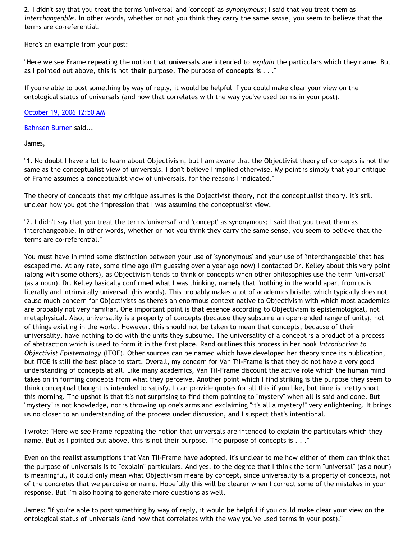2. I didn't say that you treat the terms 'universal' and 'concept' as *synonymous*; I said that you treat them as *interchangeable*. In other words, whether or not you think they carry the same *sense*, you seem to believe that the terms are co-referential.

Here's an example from your post:

"Here we see Frame repeating the notion that **universals** are intended to *explain* the particulars which they name. But as I pointed out above, this is not **their** purpose. The purpose of **concepts** is . . ."

If you're able to post something by way of reply, it would be helpful if you could make clear your view on the ontological status of universals (and how that correlates with the way you've used terms in your post).

### [October 19, 2006 12:50 AM](http://bahnsenburner.blogspot.com/2006/09/116124421537777669)

[Bahnsen Burner](http://www.blogger.com/profile/7766918) said...

James,

"1. No doubt I have a lot to learn about Objectivism, but I am aware that the Objectivist theory of concepts is not the same as the conceptualist view of universals. I don't believe I implied otherwise. My point is simply that your critique of Frame assumes a conceptualist view of universals, for the reasons I indicated."

The theory of concepts that my critique assumes is the Objectivist theory, not the conceptualist theory. It's still unclear how you got the impression that I was assuming the conceptualist view.

"2. I didn't say that you treat the terms 'universal' and 'concept' as synonymous; I said that you treat them as interchangeable. In other words, whether or not you think they carry the same sense, you seem to believe that the terms are co-referential."

You must have in mind some distinction between your use of 'synonymous' and your use of 'interchangeable' that has escaped me. At any rate, some time ago (I'm guessing over a year ago now) I contacted Dr. Kelley about this very point (along with some others), as Objectivism tends to think of concepts when other philosophies use the term 'universal' (as a noun). Dr. Kelley basically confirmed what I was thinking, namely that "nothing in the world apart from us is literally and intrinsically universal" (his words). This probably makes a lot of academics bristle, which typically does not cause much concern for Objectivists as there's an enormous context native to Objectivism with which most academics are probably not very familiar. One important point is that essence according to Objectivism is epistemological, not metaphysical. Also, universality is a property of concepts (because they subsume an open-ended range of units), not of things existing in the world. However, this should not be taken to mean that concepts, because of their universality, have nothing to do with the units they subsume. The universality of a concept is a product of a process of abstraction which is used to form it in the first place. Rand outlines this process in her book *Introduction to Objectivist Epistemology* (ITOE). Other sources can be named which have developed her theory since its publication, but ITOE is still the best place to start. Overall, my concern for Van Til-Frame is that they do not have a very good understanding of concepts at all. Like many academics, Van Til-Frame discount the active role which the human mind takes on in forming concepts from what they perceive. Another point which I find striking is the purpose they seem to think conceptual thought is intended to satisfy. I can provide quotes for all this if you like, but time is pretty short this morning. The upshot is that it's not surprising to find them pointing to "mystery" when all is said and done. But "mystery" is not knowledge, nor is throwing up one's arms and exclaiming "it's all a mystery!" very enlightening. It brings us no closer to an understanding of the process under discussion, and I suspect that's intentional.

I wrote: "Here we see Frame repeating the notion that universals are intended to explain the particulars which they name. But as I pointed out above, this is not their purpose. The purpose of concepts is . . ."

Even on the realist assumptions that Van Til-Frame have adopted, it's unclear to me how either of them can think that the purpose of universals is to "explain" particulars. And yes, to the degree that I think the term "universal" (as a noun) is meaningful, it could only mean what Objectivism means by concept, since universality is a property of concepts, not of the concretes that we perceive or name. Hopefully this will be clearer when I correct some of the mistakes in your response. But I'm also hoping to generate more questions as well.

James: "If you're able to post something by way of reply, it would be helpful if you could make clear your view on the ontological status of universals (and how that correlates with the way you've used terms in your post)."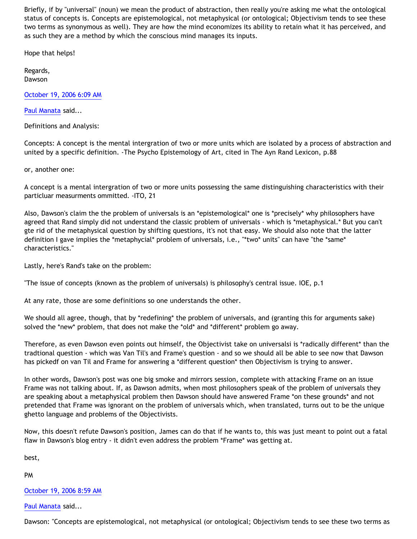Briefly, if by "universal" (noun) we mean the product of abstraction, then really you're asking me what the ontological status of concepts is. Concepts are epistemological, not metaphysical (or ontological; Objectivism tends to see these two terms as synonymous as well). They are how the mind economizes its ability to retain what it has perceived, and as such they are a method by which the conscious mind manages its inputs.

Hope that helps!

Regards, Dawson

[October 19, 2006 6:09 AM](http://bahnsenburner.blogspot.com/2006/09/116126334557150182)

[Paul Manata](http://www.blogger.com/profile/7464842) said...

Definitions and Analysis:

Concepts: A concept is the mental intergration of two or more units which are isolated by a process of abstraction and united by a specific definition. -The Psycho Epistemology of Art, cited in The Ayn Rand Lexicon, p.88

or, another one:

A concept is a mental intergration of two or more units possessing the same distinguishing characteristics with their particluar measurments ommitted. -ITO, 21

Also, Dawson's claim the the problem of universals is an \*epistemological\* one is \*precisely\* why philosophers have agreed that Rand simply did not understand the classic problem of universals - which is \*metaphysical.\* But you can't gte rid of the metaphysical question by shifting questions, it's not that easy. We should also note that the latter definition I gave implies the \*metaphycial\* problem of universals, i.e., "\*two\* units" can have "the \*same\* characteristics."

Lastly, here's Rand's take on the problem:

"The issue of concepts (known as the problem of universals) is philosophy's central issue. IOE, p.1

At any rate, those are some definitions so one understands the other.

We should all agree, though, that by \*redefining\* the problem of universals, and (granting this for arguments sake) solved the \*new\* problem, that does not make the \*old\* and \*different\* problem go away.

Therefore, as even Dawson even points out himself, the Objectivist take on universalsi is \*radically different\* than the tradtional question - which was Van Til's and Frame's question - and so we should all be able to see now that Dawson has pickedf on van Til and Frame for answering a \*different question\* then Objectivism is trying to answer.

In other words, Dawson's post was one big smoke and mirrors session, complete with attacking Frame on an issue Frame was not talking about. If, as Dawson admits, when most philosophers speak of the problem of universals they are speaking about a metaphysical problem then Dawson should have answered Frame \*on these grounds\* and not pretended that Frame was ignorant on the problem of universals which, when translated, turns out to be the unique ghetto language and problems of the Objectivists.

Now, this doesn't refute Dawson's position, James can do that if he wants to, this was just meant to point out a fatal flaw in Dawson's blog entry - it didn't even address the problem \*Frame\* was getting at.

best,

PM

[October 19, 2006 8:59 AM](http://bahnsenburner.blogspot.com/2006/09/116127358582081638)

[Paul Manata](http://www.blogger.com/profile/7464842) said...

Dawson: "Concepts are epistemological, not metaphysical (or ontological; Objectivism tends to see these two terms as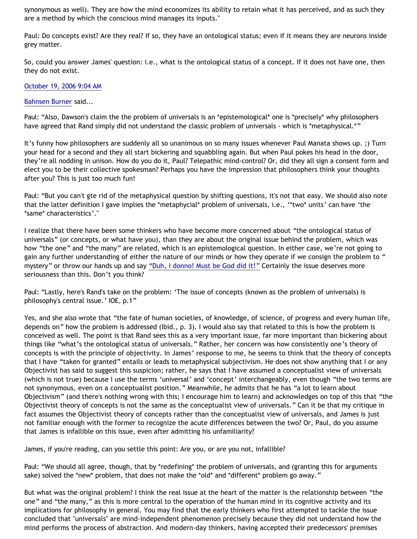synonymous as well). They are how the mind economizes its ability to retain what it has perceived, and as such they are a method by which the conscious mind manages its inputs."

Paul: Do concepts exist? Are they real? If so, they have an ontological status; even if it means they are neurons inside grey matter.

So, could you answer James' question: i.e., what is the ontological status of a concept. If it does not have one, then they do not exist.

[October 19, 2006 9:04 AM](http://bahnsenburner.blogspot.com/2006/09/116127384445391965)

[Bahnsen Burner](http://www.blogger.com/profile/7766918) said...

Paul: "Also, Dawson's claim the the problem of universals is an \*epistemological\* one is \*precisely\* why philosophers have agreed that Rand simply did not understand the classic problem of universals - which is \*metaphysical.\*"

It's funny how philosophers are suddenly all so unanimous on so many issues whenever Paul Manata shows up. ;) Turn your head for a second and they all start bickering and squabbling again. But when Paul pokes his head in the door, they're all nodding in unison. How do you do it, Paul? Telepathic mind-control? Or, did they all sign a consent form and elect you to be their collective spokesman? Perhaps you have the impression that philosophers think your thoughts after you? This is just too much fun!

Paul: "But you can't gte rid of the metaphysical question by shifting questions, it's not that easy. We should also note that the latter definition I gave implies the \*metaphycial\* problem of universals, i.e., '\*two\* units' can have 'the \*same\* characteristics'."

I realize that there have been some thinkers who have become more concerned about "the ontological status of universals" (or concepts, or what have you), than they are about the original issue behind the problem, which was how "the one" and "the many" are related, which is an epistemological question. In either case, we're not going to gain any further understanding of either the nature of our minds or how they operate if we consign the problem to " mystery" or throw our hands up and say ["Duh, I donno! Must be God did it!"](http://www.geocities.com/katholon/duh15.wav) Certainly the issue deserves more seriousness than this. Don't you think?

Paul: "Lastly, here's Rand's take on the problem: 'The issue of concepts (known as the problem of universals) is philosophy's central issue.' IOE, p.1"

Yes, and she also wrote that "the fate of human societies, of knowledge, of science, of progress and every human life, depends on" how the problem is addressed (Ibid., p. 3). I would also say that related to this is how the problem is conceived as well. The point is that Rand sees this as a very important issue, far more important than bickering about things like "what's the ontological status of universals." Rather, her concern was how consistently one's theory of concepts is with the principle of objectivity. In James' response to me, he seems to think that the theory of concepts that I have "taken for granted" entails or leads to metaphysical subjectivism. He does not show anything that I or any Objectivist has said to suggest this suspicion; rather, he says that I have assumed a conceptualist view of universals (which is not true) because I use the terms 'universal' and 'concept' interchangeably, even though "the two terms are not synonymous, even on a conceptualist position." Meanwhile, he admits that he has "a lot to learn about Objectivism" (and there's nothing wrong with this; I encourage him to learn) and acknowledges on top of this that "the Objectivist theory of concepts is not the same as the conceptualist view of universals." Can it be that my critique in fact assumes the Objectivist theory of concepts rather than the conceptualist view of universals, and James is just not familiar enough with the former to recognize the acute differences between the two? Or, Paul, do you assume that James is infallible on this issue, even after admitting his unfamiliarity?

James, if you're reading, can you settle this point: Are you, or are you not, infallible?

Paul: "We should all agree, though, that by \*redefining\* the problem of universals, and (granting this for arguments sake) solved the \*new\* problem, that does not make the \*old\* and \*different\* problem go away."

But what was the original problem? I think the real issue at the heart of the matter is the relationship between "the one" and "the many," as this is more central to the operation of the human mind in its cognitive activity and its implications for philosophy in general. You may find that the early thinkers who first attempted to tackle the issue concluded that "universals" are mind-independent phenomenon precisely because they did not understand how the mind performs the process of abstraction. And modern-day thinkers, having accepted their predecessors' premises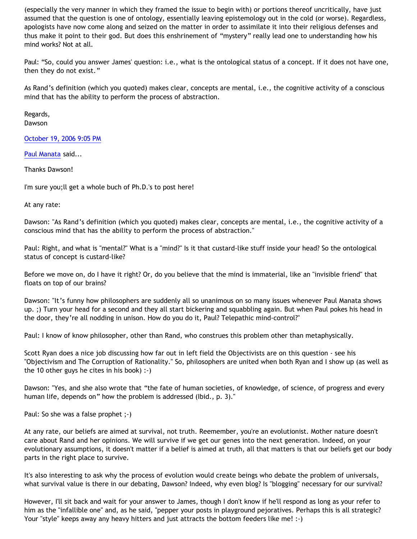(especially the very manner in which they framed the issue to begin with) or portions thereof uncritically, have just assumed that the question is one of ontology, essentially leaving epistemology out in the cold (or worse). Regardless, apologists have now come along and seized on the matter in order to assimilate it into their religious defenses and thus make it point to their god. But does this enshrinement of "mystery" really lead one to understanding how his mind works? Not at all.

Paul: "So, could you answer James' question: i.e., what is the ontological status of a concept. If it does not have one, then they do not exist."

As Rand's definition (which you quoted) makes clear, concepts are mental, i.e., the cognitive activity of a conscious mind that has the ability to perform the process of abstraction.

Regards, Dawson

[October 19, 2006 9:05 PM](http://bahnsenburner.blogspot.com/2006/09/116131710233630730)

[Paul Manata](http://www.blogger.com/profile/7464842) said...

Thanks Dawson!

I'm sure you;ll get a whole buch of Ph.D.'s to post here!

At any rate:

Dawson: "As Rand's definition (which you quoted) makes clear, concepts are mental, i.e., the cognitive activity of a conscious mind that has the ability to perform the process of abstraction."

Paul: Right, and what is "mental?" What is a "mind?" Is it that custard-like stuff inside your head? So the ontological status of concept is custard-like?

Before we move on, do I have it right? Or, do you believe that the mind is immaterial, like an "invisible friend" that floats on top of our brains?

Dawson: "It's funny how philosophers are suddenly all so unanimous on so many issues whenever Paul Manata shows up. ;) Turn your head for a second and they all start bickering and squabbling again. But when Paul pokes his head in the door, they're all nodding in unison. How do you do it, Paul? Telepathic mind-control?"

Paul: I know of know philosopher, other than Rand, who construes this problem other than metaphysically.

Scott Ryan does a nice job discussing how far out in left field the Objectivists are on this question - see his "Objectivism and The Corruption of Rationality." So, philosophers are united when both Ryan and I show up (as well as the 10 other guys he cites in his book) :-)

Dawson: "Yes, and she also wrote that "the fate of human societies, of knowledge, of science, of progress and every human life, depends on" how the problem is addressed (Ibid., p. 3)."

Paul: So she was a false prophet ;-)

At any rate, our beliefs are aimed at survival, not truth. Reemember, you're an evolutionist. Mother nature doesn't care about Rand and her opinions. We will survive if we get our genes into the next generation. Indeed, on your evolutionary assumptions, it doesn't matter if a belief is aimed at truth, all that matters is that our beliefs get our body parts in the right place to survive.

It's also interesting to ask why the process of evolution would create beings who debate the problem of universals, what survival value is there in our debating, Dawson? Indeed, why even blog? Is "blogging" necessary for our survival?

However, I'll sit back and wait for your answer to James, though I don't know if he'll respond as long as your refer to him as the "infallible one" and, as he said, "pepper your posts in playground pejoratives. Perhaps this is all strategic? Your "style" keeps away any heavy hitters and just attracts the bottom feeders like me! :-)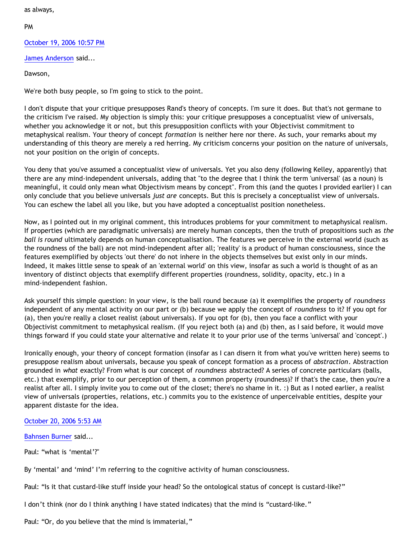as always,

PM

[October 19, 2006 10:57 PM](http://bahnsenburner.blogspot.com/2006/09/116132386997411306)

[James Anderson](http://www.blogger.com/profile/8293423) said...

Dawson,

We're both busy people, so I'm going to stick to the point.

I don't dispute that your critique presupposes Rand's theory of concepts. I'm sure it does. But that's not germane to the criticism I've raised. My objection is simply this: your critique presupposes a conceptualist view of universals, whether you acknowledge it or not, but this presupposition conflicts with your Objectivist commitment to metaphysical realism. Your theory of concept *formation* is neither here nor there. As such, your remarks about my understanding of this theory are merely a red herring. My criticism concerns your position on the nature of universals, not your position on the origin of concepts.

You deny that you've assumed a conceptualist view of universals. Yet you also deny (following Kelley, apparently) that there are any mind-independent universals, adding that "to the degree that I think the term 'universal' (as a noun) is meaningful, it could only mean what Objectivism means by concept". From this (and the quotes I provided earlier) I can only conclude that you believe universals *just are* concepts. But this is precisely a conceptualist view of universals. You can eschew the label all you like, but you have adopted a conceptualist position nonetheless.

Now, as I pointed out in my original comment, this introduces problems for your commitment to metaphysical realism. If properties (which are paradigmatic universals) are merely human concepts, then the truth of propositions such as *the ball is round* ultimately depends on human conceptualisation. The features we perceive in the external world (such as the roundness of the ball) are not mind-independent after all; 'reality' is a product of human consciousness, since the features exemplified by objects 'out there' do not inhere in the objects themselves but exist only in our minds. Indeed, it makes little sense to speak of an 'external world' on this view, insofar as such a world is thought of as an inventory of distinct objects that exemplify different properties (roundness, solidity, opacity, etc.) in a mind-independent fashion.

Ask yourself this simple question: In your view, is the ball round because (a) it exemplifies the property of *roundness* independent of any mental activity on our part or (b) because we apply the concept of *roundness* to it? If you opt for (a), then you're really a closet realist (about universals). If you opt for (b), then you face a conflict with your Objectivist commitment to metaphysical realism. (If you reject both (a) and (b) then, as I said before, it would move things forward if you could state your alternative and relate it to your prior use of the terms 'universal' and 'concept'.)

Ironically enough, your theory of concept formation (insofar as I can disern it from what you've written here) seems to presuppose realism about universals, because you speak of concept formation as a process of *abstraction*. Abstraction grounded in *what* exactly? From what is our concept of *roundness* abstracted? A series of concrete particulars (balls, etc.) that exemplify, prior to our perception of them, a common property (roundness)? If that's the case, then you're a realist after all. I simply invite you to come out of the closet; there's no shame in it. :) But as I noted earlier, a realist view of universals (properties, relations, etc.) commits you to the existence of unperceivable entities, despite your apparent distaste for the idea.

[October 20, 2006 5:53 AM](http://bahnsenburner.blogspot.com/2006/09/116134879243071152)

[Bahnsen Burner](http://www.blogger.com/profile/7766918) said...

Paul: "what is 'mental'?"

By 'mental' and 'mind' I'm referring to the cognitive activity of human consciousness.

Paul: "Is it that custard-like stuff inside your head? So the ontological status of concept is custard-like?"

I don't think (nor do I think anything I have stated indicates) that the mind is "custard-like."

Paul: "Or, do you believe that the mind is immaterial,"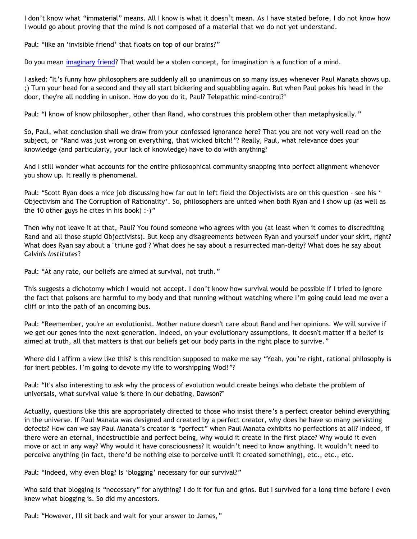I don't know what "immaterial" means. All I know is what it doesn't mean. As I have stated before, I do not know how I would go about proving that the mind is not composed of a material that we do not yet understand.

Paul: "like an 'invisible friend' that floats on top of our brains?"

Do you mean [imaginary friend?](http://bahnsenburner.blogspot.com/2006/08/christianity-imaginary-friends-network.html) That would be a stolen concept, for imagination is a function of a mind.

I asked: "It's funny how philosophers are suddenly all so unanimous on so many issues whenever Paul Manata shows up. ;) Turn your head for a second and they all start bickering and squabbling again. But when Paul pokes his head in the door, they're all nodding in unison. How do you do it, Paul? Telepathic mind-control?"

Paul: "I know of know philosopher, other than Rand, who construes this problem other than metaphysically."

So, Paul, what conclusion shall we draw from your confessed ignorance here? That you are not very well read on the subject, or "Rand was just wrong on everything, that wicked bitch!"? Really, Paul, what relevance does your knowledge (and particularly, your lack of knowledge) have to do with anything?

And I still wonder what accounts for the entire philosophical community snapping into perfect alignment whenever you show up. It really is phenomenal.

Paul: "Scott Ryan does a nice job discussing how far out in left field the Objectivists are on this question - see his ' Objectivism and The Corruption of Rationality'. So, philosophers are united when both Ryan and I show up (as well as the 10 other guys he cites in his book) :-)"

Then why not leave it at that, Paul? You found someone who agrees with you (at least when it comes to discrediting Rand and all those stupid Objectivists). But keep any disagreements between Ryan and yourself under your skirt, right? What does Ryan say about a "triune god"? What does he say about a resurrected man-deity? What does he say about Calvin's *Institutes*?

Paul: "At any rate, our beliefs are aimed at survival, not truth."

This suggests a dichotomy which I would not accept. I don't know how survival would be possible if I tried to ignore the fact that poisons are harmful to my body and that running without watching where I'm going could lead me over a cliff or into the path of an oncoming bus.

Paul: "Reemember, you're an evolutionist. Mother nature doesn't care about Rand and her opinions. We will survive if we get our genes into the next generation. Indeed, on your evolutionary assumptions, it doesn't matter if a belief is aimed at truth, all that matters is that our beliefs get our body parts in the right place to survive."

Where did I affirm a view like this? Is this rendition supposed to make me say "Yeah, you're right, rational philosophy is for inert pebbles. I'm going to devote my life to worshipping Wod!"?

Paul: "It's also interesting to ask why the process of evolution would create beings who debate the problem of universals, what survival value is there in our debating, Dawson?"

Actually, questions like this are appropriately directed to those who insist there's a perfect creator behind everything in the universe. If Paul Manata was designed and created by a perfect creator, why does he have so many persisting defects? How can we say Paul Manata's creator is "perfect" when Paul Manata exhibits no perfections at all? Indeed, if there were an eternal, indestructible and perfect being, why would it create in the first place? Why would it even move or act in any way? Why would it have consciousness? It wouldn't need to know anything. It wouldn't need to perceive anything (in fact, there'd be nothing else to perceive until it created something), etc., etc., etc.

Paul: "Indeed, why even blog? Is 'blogging' necessary for our survival?"

Who said that blogging is "necessary" for anything? I do it for fun and grins. But I survived for a long time before I even knew what blogging is. So did my ancestors.

Paul: "However, I'll sit back and wait for your answer to James,"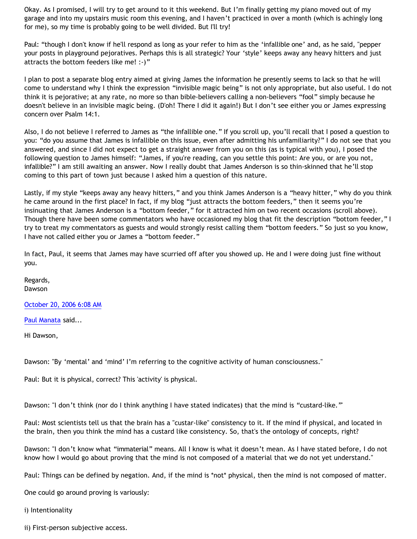Okay. As I promised, I will try to get around to it this weekend. But I'm finally getting my piano moved out of my garage and into my upstairs music room this evening, and I haven't practiced in over a month (which is achingly long for me), so my time is probably going to be well divided. But I'll try!

Paul: "though I don't know if he'll respond as long as your refer to him as the 'infallible one' and, as he said, "pepper your posts in playground pejoratives. Perhaps this is all strategic? Your 'style' keeps away any heavy hitters and just attracts the bottom feeders like me! :-)"

I plan to post a separate blog entry aimed at giving James the information he presently seems to lack so that he will come to understand why I think the expression "invisible magic being" is not only appropriate, but also useful. I do not think it is pejorative; at any rate, no more so than bible-believers calling a non-believers "fool" simply because he doesn't believe in an invisible magic being. (D'oh! There I did it again!) But I don't see either you or James expressing concern over Psalm 14:1.

Also, I do not believe I referred to James as "the infallible one." If you scroll up, you'll recall that I posed a question to you: "do you assume that James is infallible on this issue, even after admitting his unfamiliarity?" I do not see that you answered, and since I did not expect to get a straight answer from you on this (as is typical with you), I posed the following question to James himself: "James, if you're reading, can you settle this point: Are you, or are you not, infallible?" I am still awaiting an answer. Now I really doubt that James Anderson is so thin-skinned that he'll stop coming to this part of town just because I asked him a question of this nature.

Lastly, if my style "keeps away any heavy hitters," and you think James Anderson is a "heavy hitter," why do you think he came around in the first place? In fact, if my blog "just attracts the bottom feeders," then it seems you're insinuating that James Anderson is a "bottom feeder," for it attracted him on two recent occasions (scroll above). Though there have been some commentators who have occasioned my blog that fit the description "bottom feeder," I try to treat my commentators as guests and would strongly resist calling them "bottom feeders." So just so you know, I have not called either you or James a "bottom feeder."

In fact, Paul, it seems that James may have scurried off after you showed up. He and I were doing just fine without you.

Regards, Dawson

[October 20, 2006 6:08 AM](http://bahnsenburner.blogspot.com/2006/09/116134968012054103)

[Paul Manata](http://www.blogger.com/profile/7464842) said...

Hi Dawson,

Dawson: "By 'mental' and 'mind' I'm referring to the cognitive activity of human consciousness."

Paul: But it is physical, correct? This 'activity' is physical.

Dawson: "I don't think (nor do I think anything I have stated indicates) that the mind is "custard-like."'

Paul: Most scientists tell us that the brain has a "custar-like" consistency to it. If the mind if physical, and located in the brain, then you think the mind has a custard like consistency. So, that's the ontology of concepts, right?

Dawson: "I don't know what "immaterial" means. All I know is what it doesn't mean. As I have stated before, I do not know how I would go about proving that the mind is not composed of a material that we do not yet understand."

Paul: Things can be defined by negation. And, if the mind is \*not\* physical, then the mind is not composed of matter.

One could go around proving is variously:

i) Intentionality

ii) First-person subjective access.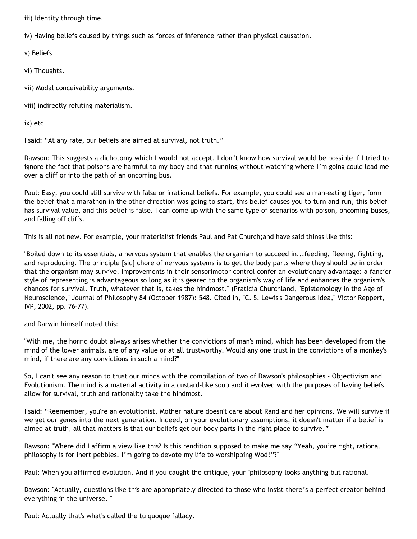iii) Identity through time.

iv) Having beliefs caused by things such as forces of inference rather than physical causation.

v) Beliefs

vi) Thoughts.

vii) Modal conceivability arguments.

viii) indirectly refuting materialism.

ix) etc

I said: "At any rate, our beliefs are aimed at survival, not truth."

Dawson: This suggests a dichotomy which I would not accept. I don't know how survival would be possible if I tried to ignore the fact that poisons are harmful to my body and that running without watching where I'm going could lead me over a cliff or into the path of an oncoming bus.

Paul: Easy, you could still survive with false or irrational beliefs. For example, you could see a man-eating tiger, form the belief that a marathon in the other direction was going to start, this belief causes you to turn and run, this belief has survival value, and this belief is false. I can come up with the same type of scenarios with poison, oncoming buses, and falling off cliffs.

This is all not new. For example, your materialist friends Paul and Pat Church;and have said things like this:

"Boiled down to its essentials, a nervous system that enables the organism to succeed in...feeding, fleeing, fighting, and reproducing. The principle [sic] chore of nervous systems is to get the body parts where they should be in order that the organism may survive. Improvements in their sensorimotor control confer an evolutionary advantage: a fancier style of representing is advantageous so long as it is geared to the organism's way of life and enhances the organism's chances for survival. Truth, whatever that is, takes the hindmost." (Praticia Churchland, "Epistemology in the Age of Neuroscience," Journal of Philosophy 84 (October 1987): 548. Cited in, "C. S. Lewis's Dangerous Idea," Victor Reppert, IVP, 2002, pp. 76-77).

and Darwin himself noted this:

"With me, the horrid doubt always arises whether the convictions of man's mind, which has been developed from the mind of the lower animals, are of any value or at all trustworthy. Would any one trust in the convictions of a monkey's mind, if there are any convictions in such a mind?"

So, I can't see any reason to trust our minds with the compilation of two of Dawson's philosophies - Objectivism and Evolutionism. The mind is a material activity in a custard-like soup and it evolved with the purposes of having beliefs allow for survival, truth and rationality take the hindmost.

I said: "Reemember, you're an evolutionist. Mother nature doesn't care about Rand and her opinions. We will survive if we get our genes into the next generation. Indeed, on your evolutionary assumptions, it doesn't matter if a belief is aimed at truth, all that matters is that our beliefs get our body parts in the right place to survive."

Dawson: "Where did I affirm a view like this? Is this rendition supposed to make me say "Yeah, you're right, rational philosophy is for inert pebbles. I'm going to devote my life to worshipping Wod!"?"

Paul: When you affirmed evolution. And if you caught the critique, your "philosophy looks anything but rational.

Dawson: "Actually, questions like this are appropriately directed to those who insist there's a perfect creator behind everything in the universe. "

Paul: Actually that's what's called the tu quoque fallacy.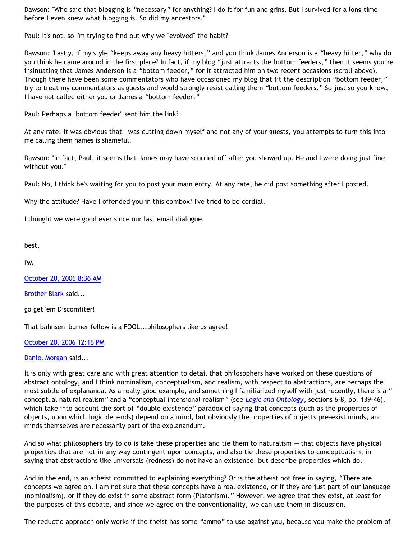Dawson: "Who said that blogging is "necessary" for anything? I do it for fun and grins. But I survived for a long time before I even knew what blogging is. So did my ancestors."

Paul: It's not, so I'm trying to find out why we "evolved" the habit?

Dawson: "Lastly, if my style "keeps away any heavy hitters," and you think James Anderson is a "heavy hitter," why do you think he came around in the first place? In fact, if my blog "just attracts the bottom feeders," then it seems you're insinuating that James Anderson is a "bottom feeder," for it attracted him on two recent occasions (scroll above). Though there have been some commentators who have occasioned my blog that fit the description "bottom feeder," I try to treat my commentators as guests and would strongly resist calling them "bottom feeders." So just so you know, I have not called either you or James a "bottom feeder."

Paul: Perhaps a "bottom feeder" sent him the link?

At any rate, it was obvious that I was cutting down myself and not any of your guests, you attempts to turn this into me calling them names is shameful.

Dawson: "In fact, Paul, it seems that James may have scurried off after you showed up. He and I were doing just fine without you."

Paul: No, I think he's waiting for you to post your main entry. At any rate, he did post something after I posted.

Why the attitude? Have I offended you in this combox? I've tried to be cordial.

I thought we were good ever since our last email dialogue.

best,

PM

[October 20, 2006 8:36 AM](http://bahnsenburner.blogspot.com/2006/09/116135858661814319)

[Brother Blark](http://www.blogger.com/profile/29482551) said...

go get 'em Discomfiter!

That bahnsen\_burner fellow is a FOOL...philosophers like us agree!

[October 20, 2006 12:16 PM](http://bahnsenburner.blogspot.com/2006/09/116137178422917241)

## [Daniel Morgan](http://www.blogger.com/profile/15150803) said...

It is only with great care and with great attention to detail that philosophers have worked on these questions of abstract ontology, and I think nominalism, conceptualism, and realism, with respect to abstractions, are perhaps the most subtle of explananda. As a really good example, and something I familiarized myself with just recently, there is a " conceptual natural realism" and a "conceptual intensional realism" (see *[Logic and Ontology](http://www.stoqnet.org/materials/cocchiarellla_logicontology.pdf)*, sections 6-8, pp. 139-46), which take into account the sort of "double existence" paradox of saying that concepts (such as the properties of objects, upon which logic depends) depend on a mind, but obviously the properties of objects pre-exist minds, and minds themselves are necessarily part of the explanandum.

And so what philosophers try to do is take these properties and tie them to naturalism — that objects have physical properties that are not in any way contingent upon concepts, and also tie these properties to conceptualism, in saying that abstractions like universals (redness) do not have an existence, but describe properties which do.

And in the end, is an atheist committed to explaining everything? Or is the atheist not free in saying, "There are concepts we agree on. I am not sure that these concepts have a real existence, or if they are just part of our language (nominalism), or if they do exist in some abstract form (Platonism)." However, we agree that they exist, at least for the purposes of this debate, and since we agree on the conventionality, we can use them in discussion.

The reductio approach only works if the theist has some "ammo" to use against you, because you make the problem of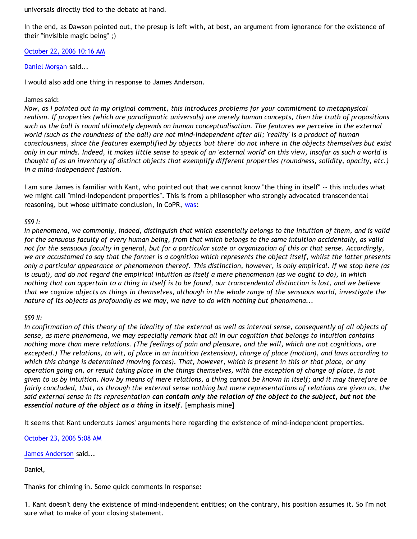universals directly tied to the debate at hand.

In the end, as Dawson pointed out, the presup is left with, at best, an argument from ignorance for the existence of their "invisible magic being" ;)

[October 22, 2006 10:16 AM](http://bahnsenburner.blogspot.com/2006/09/116153739267350849)

[Daniel Morgan](http://www.blogger.com/profile/15150803) said...

I would also add one thing in response to James Anderson.

## James said:

*Now, as I pointed out in my original comment, this introduces problems for your commitment to metaphysical realism. If properties (which are paradigmatic universals) are merely human concepts, then the truth of propositions such as the ball is round ultimately depends on human conceptualisation. The features we perceive in the external world (such as the roundness of the ball) are not mind-independent after all; 'reality' is a product of human consciousness, since the features exemplified by objects 'out there' do not inhere in the objects themselves but exist only in our minds. Indeed, it makes little sense to speak of an 'external world' on this view, insofar as such a world is thought of as an inventory of distinct objects that exemplify different properties (roundness, solidity, opacity, etc.) in a mind-independent fashion.*

I am sure James is familiar with Kant, who pointed out that we cannot know "the thing in itself" -- this includes what we might call "mind-independent properties". This is from a philosopher who strongly advocated transcendental reasoning, but whose ultimate conclusion, in CoPR, [was:](http://etext.library.adelaide.edu.au/k/kant/immanuel/k16p/k16p19.html)

# *SS9 I:*

*In phenomena, we commonly, indeed, distinguish that which essentially belongs to the intuition of them, and is valid for the sensuous faculty of every human being, from that which belongs to the same intuition accidentally, as valid not for the sensuous faculty in general, but for a particular state or organization of this or that sense. Accordingly, we are accustomed to say that the former is a cognition which represents the object itself, whilst the latter presents only a particular appearance or phenomenon thereof. This distinction, however, is only empirical. If we stop here (as is usual), and do not regard the empirical intuition as itself a mere phenomenon (as we ought to do), in which nothing that can appertain to a thing in itself is to be found, our transcendental distinction is lost, and we believe that we cognize objects as things in themselves, although in the whole range of the sensuous world, investigate the nature of its objects as profoundly as we may, we have to do with nothing but phenomena...*

## *SS9 II:*

*In confirmation of this theory of the ideality of the external as well as internal sense, consequently of all objects of sense, as mere phenomena, we may especially remark that all in our cognition that belongs to intuition contains nothing more than mere relations. (The feelings of pain and pleasure, and the will, which are not cognitions, are excepted.) The relations, to wit, of place in an intuition (extension), change of place (motion), and laws according to which this change is determined (moving forces). That, however, which is present in this or that place, or any operation going on, or result taking place in the things themselves, with the exception of change of place, is not given to us by intuition. Now by means of mere relations, a thing cannot be known in itself; and it may therefore be fairly concluded, that, as through the external sense nothing but mere representations of relations are given us, the said external sense in its representation can contain only the relation of the object to the subject, but not the essential nature of the object as a thing in itself.* [emphasis mine]

It seems that Kant undercuts James' arguments here regarding the existence of mind-independent properties.

[October 23, 2006 5:08 AM](http://bahnsenburner.blogspot.com/2006/09/116160528061137119)

[James Anderson](http://www.blogger.com/profile/8293423) said...

Daniel,

Thanks for chiming in. Some quick comments in response:

1. Kant doesn't deny the existence of mind-independent entities; on the contrary, his position assumes it. So I'm not sure what to make of your closing statement.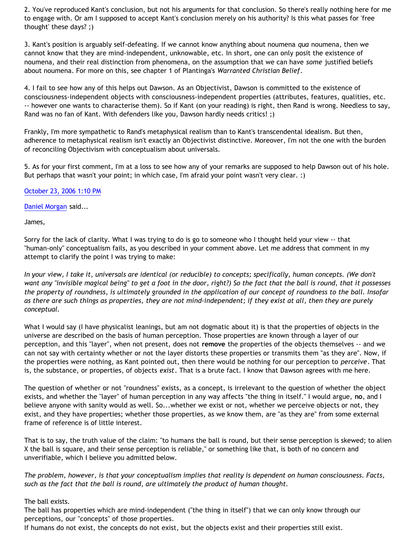2. You've reproduced Kant's conclusion, but not his arguments for that conclusion. So there's really nothing here for me to engage with. Or am I supposed to accept Kant's conclusion merely on his authority? Is this what passes for 'free thought' these days? ;)

3. Kant's position is arguably self-defeating. If we cannot know anything about noumena *qua* noumena, then we cannot know that they are mind-independent, unknowable, etc. In short, one can only posit the existence of noumena, and their real distinction from phenomena, on the assumption that we can have *some* justified beliefs about noumena. For more on this, see chapter 1 of Plantinga's *Warranted Christian Belief*.

4. I fail to see how any of this helps out Dawson. As an Objectivist, Dawson is committed to the existence of consciousness-independent objects with consciousness-independent properties (attributes, features, qualities, etc. -- however one wants to characterise them). So if Kant (on your reading) is right, then Rand is wrong. Needless to say, Rand was no fan of Kant. With defenders like you, Dawson hardly needs critics! ;)

Frankly, I'm more sympathetic to Rand's metaphysical realism than to Kant's transcendental idealism. But then, adherence to metaphysical realism isn't exactly an Objectivist distinctive. Moreover, I'm not the one with the burden of reconciling Objectivism with conceptualism about universals.

5. As for your first comment, I'm at a loss to see how any of your remarks are supposed to help Dawson out of his hole. But perhaps that wasn't your point; in which case, I'm afraid your point wasn't very clear. :)

## [October 23, 2006 1:10 PM](http://bahnsenburner.blogspot.com/2006/09/116163424318315773)

[Daniel Morgan](http://www.blogger.com/profile/15150803) said...

James,

Sorry for the lack of clarity. What I was trying to do is go to someone who I thought held your view -- that "human-only" conceptualism fails, as you described in your comment above. Let me address that comment in my attempt to clarify the point I was trying to make:

*In your view, I take it, universals are identical (or reducible) to concepts; specifically, human concepts. (We don't want any "invisible magical being" to get a foot in the door, right?) So the fact that the ball is round, that it possesses the property of roundness, is ultimately grounded in the application of our concept of roundness to the ball. Insofar as there are such things as properties, they are not mind-independent; if they exist at all, then they are purely conceptual.*

What I would say (I have physicalist leanings, but am not dogmatic about it) is that the properties of objects in the universe are described on the basis of human perception. Those properties are known through a layer of our perception, and this "layer", when not present, does not **remove** the properties of the objects themselves -- and we can not say with certainty whether or not the layer distorts these properties or transmits them "as they are". Now, if the properties were nothing, as Kant pointed out, then there would be nothing for our perception to *perceive*. That is, the substance, or properties, of objects *exist*. That is a brute fact. I know that Dawson agrees with me here.

The question of whether or not "roundness" exists, as a concept, is irrelevant to the question of whether the object exists, and whether the "layer" of human perception in any way affects "the thing in itself." I would argue, **no**, and I believe anyone with sanity would as well. So...whether we exist or not, whether we perceive objects or not, they exist, and they have properties; whether those properties, as we know them, are "as they are" from some external frame of reference is of little interest.

That is to say, the truth value of the claim: "to humans the ball is round, but their sense perception is skewed; to alien X the ball is square, and their sense perception is reliable," or something like that, is both of no concern and unverifiable, which I believe you admitted below.

*The problem, however, is that your conceptualism implies that reality is dependent on human consciousness. Facts, such as the fact that the ball is round, are ultimately the product of human thought.*

The ball exists.

The ball has properties which are mind-independent ("the thing in itself") that we can only know through our perceptions, our "concepts" of those properties.

If humans do not exist, the concepts do not exist, but the objects exist and their properties still exist.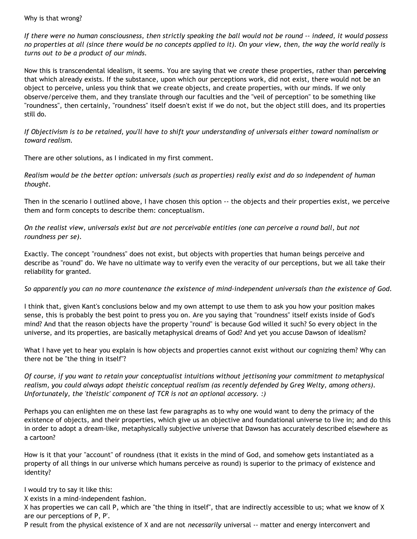## Why is that wrong?

*If there were no human consciousness, then strictly speaking the ball would not be round -- indeed, it would possess no properties at all (since there would be no concepts applied to it). On your view, then, the way the world really is turns out to be a product of our minds.*

Now this is transcendental idealism, it seems. You are saying that we *create* these properties, rather than **perceiving** that which already exists. If the substance, upon which our perceptions work, did not exist, there would not be an object to perceive, unless you think that we create objects, and create properties, with our minds. If we only observe/perceive them, and they translate through our faculties and the "veil of perception" to be something like "roundness", then certainly, "roundness" itself doesn't exist if we do not, but the object still does, and its properties still do.

*If Objectivism is to be retained, you'll have to shift your understanding of universals either toward nominalism or toward realism.*

There are other solutions, as I indicated in my first comment.

*Realism would be the better option: universals (such as properties) really exist and do so independent of human thought.*

Then in the scenario I outlined above, I have chosen this option -- the objects and their properties exist, we perceive them and form concepts to describe them: conceptualism.

*On the realist view, universals exist but are not perceivable entities (one can perceive a round ball, but not roundness per se).*

Exactly. The concept "roundness" does not exist, but objects with properties that human beings perceive and describe as "round" do. We have no ultimate way to verify even the veracity of our perceptions, but we all take their reliability for granted.

*So apparently you can no more countenance the existence of mind-independent universals than the existence of God.*

I think that, given Kant's conclusions below and my own attempt to use them to ask you how your position makes sense, this is probably the best point to press you on. Are you saying that "roundness" itself exists inside of God's mind? And that the reason objects have the property "round" is because God willed it such? So every object in the universe, and its properties, are basically metaphysical dreams of God? And yet you accuse Dawson of idealism?

What I have yet to hear you explain is how objects and properties cannot exist without our cognizing them? Why can there not be "the thing in itself"?

*Of course, if you want to retain your conceptualist intuitions without jettisoning your commitment to metaphysical realism, you could always adopt theistic conceptual realism (as recently defended by Greg Welty, among others). Unfortunately, the 'theistic' component of TCR is not an optional accessory. :)*

Perhaps you can enlighten me on these last few paragraphs as to why one would want to deny the primacy of the existence of objects, and their properties, which give us an objective and foundational universe to live in; and do this in order to adopt a dream-like, metaphysically subjective universe that Dawson has accurately described elsewhere as a cartoon?

How is it that your "account" of roundness (that it exists in the mind of God, and somehow gets instantiated as a property of all things in our universe which humans perceive as round) is superior to the primacy of existence and identity?

I would try to say it like this:

X exists in a mind-independent fashion.

X has properties we can call P, which are "the thing in itself", that are indirectly accessible to us; what we know of X are our perceptions of P, P'.

P result from the physical existence of X and are not *necessarily* universal -- matter and energy interconvert and